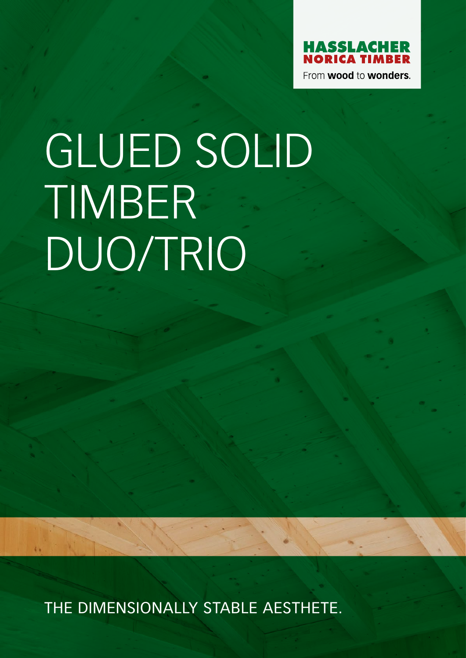

# GLUED SOLID TIMBER DUO/TRIO

THE DIMENSIONALLY STABLE AESTHETE.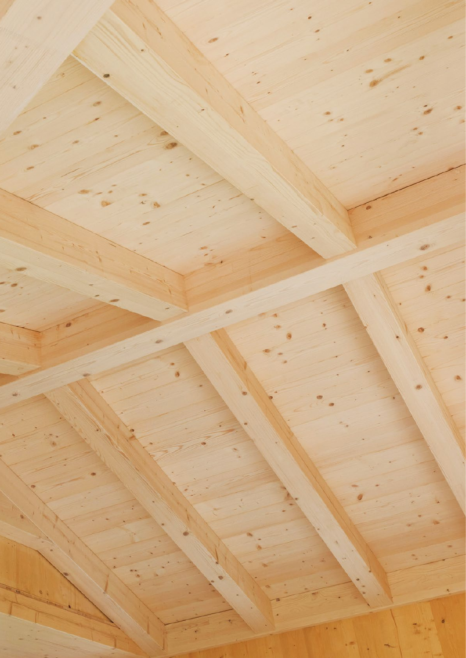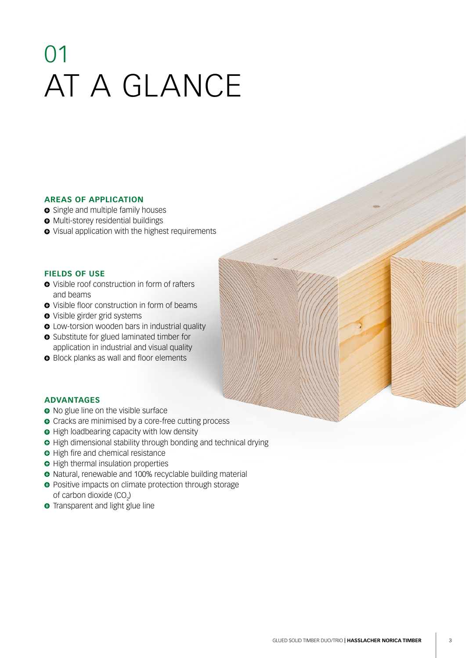### 01 AT A GLANCE

#### **AREAS OF APPLICATION**

- $\bullet$  Single and multiple family houses
- $\bullet$  Multi-storey residential buildings
- $\bullet$  Visual application with the highest requirements

#### **FIELDS OF USE**

- Visible roof construction in form of rafters and beams
- $\bullet$  Visible floor construction in form of beams
- $\bullet$  Visible girder grid systems
- $\bullet$  Low-torsion wooden bars in industrial quality
- $\bullet$  Substitute for glued laminated timber for application in industrial and visual quality
- $\bullet$  Block planks as wall and floor elements

#### **ADVANTAGES**

- **•** No glue line on the visible surface
- $\bullet$  Cracks are minimised by a core-free cutting process
- **•** High loadbearing capacity with low density
- **•** High dimensional stability through bonding and technical drying
- $\bullet$  High fire and chemical resistance
- $\bullet$  High thermal insulation properties
- Natural, renewable and 100% recyclable building material
- **•** Positive impacts on climate protection through storage of carbon dioxide (CO<sub>2</sub>)
- **•** Transparent and light glue line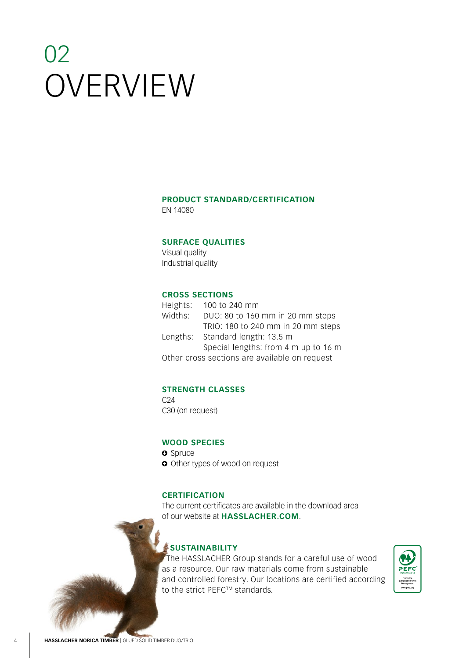### 02 OVERVIEW

#### **PRODUCT STANDARD/CERTIFICATION** EN 14080

#### **SURFACE QUALITIES**

Visual quality Industrial quality

#### **CROSS SECTIONS**

| Heights: | 100 to 240 mm                                 |
|----------|-----------------------------------------------|
| Widths:  | DUO: 80 to 160 mm in 20 mm steps              |
|          | TRIO: 180 to 240 mm in 20 mm steps            |
| Lengths: | Standard length: 13.5 m                       |
|          | Special lengths: from 4 m up to 16 m          |
|          | Other cross sections are available on request |

#### **STRENGTH CLASSES**

C24 C30 (on request)

#### **WOOD SPECIES**

- **O** Spruce
- $\bullet$  Other types of wood on request

#### **CERTIFICATION**

The current certificates are available in the download area of our website at **HASSLACHER.COM**.

#### **SUSTAINABILITY**

 The HASSLACHER Group stands for a careful use of wood as a resource. Our raw materials come from sustainable and controlled forestry. Our locations are certified according to the strict PEFC™ standards.

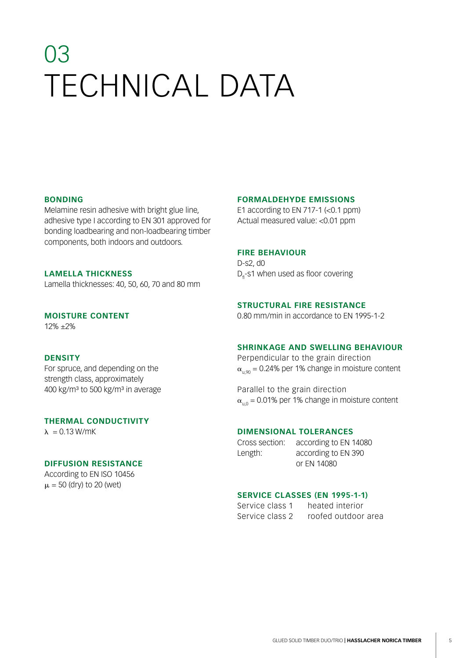### 03 TECHNICAL DATA

#### **BONDING**

Melamine resin adhesive with bright glue line, adhesive type I according to EN 301 approved for bonding loadbearing and non-loadbearing timber components, both indoors and outdoors.

**LAMELLA THICKNESS** Lamella thicknesses: 40, 50, 60, 70 and 80 mm

**MOISTURE CONTENT**  $12\% + 2\%$ 

#### **DENSITY**

For spruce, and depending on the strength class, approximately 400 kg/m³ to 500 kg/m³ in average

#### **THERMAL CONDUCTIVITY**

 $\lambda = 0.13$  W/mK

#### **DIFFUSION RESISTANCE**

According to EN ISO 10456  $\mu = 50$  (dry) to 20 (wet)

#### **FORMALDEHYDE EMISSIONS**

E1 according to EN 717-1  $\left($  < 0.1 ppm) Actual measured value: <0.01 ppm

#### **FIRE BEHAVIOUR**

D-s2, d0  $D_{\text{fl}}$ -s1 when used as floor covering

#### **STRUCTURAL FIRE RESISTANCE**

0.80 mm/min in accordance to EN 1995-1-2

#### **SHRINKAGE AND SWELLING BEHAVIOUR**

Perpendicular to the grain direction  $\alpha_{\text{non}}$  = 0.24% per 1% change in moisture content

Parallel to the grain direction  $\alpha_{10} = 0.01\%$  per 1% change in moisture content

#### **DIMENSIONAL TOLERANCES**

Cross section: according to EN 14080 Length: according to EN 390 or EN 14080

#### **SERVICE CLASSES (EN 1995-1-1)**

Service class 1 heated interior Service class 2 roofed outdoor area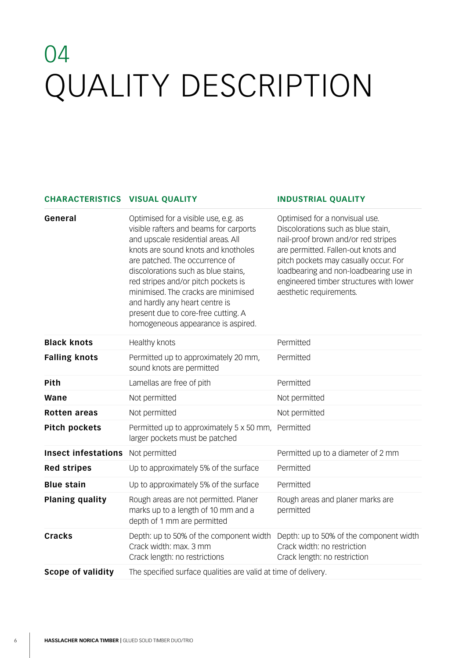### 04 QUALITY DESCRIPTION

#### **CHARACTERISTICS VISUAL QUALITY INDUSTRIAL QUALITY**

| General                    | Optimised for a visible use, e.g. as<br>visible rafters and beams for carports<br>and upscale residential areas. All<br>knots are sound knots and knotholes<br>are patched. The occurrence of<br>discolorations such as blue stains,<br>red stripes and/or pitch pockets is<br>minimised. The cracks are minimised<br>and hardly any heart centre is<br>present due to core-free cutting. A<br>homogeneous appearance is aspired. | Optimised for a nonvisual use.<br>Discolorations such as blue stain,<br>nail-proof brown and/or red stripes<br>are permitted. Fallen-out knots and<br>pitch pockets may casually occur. For<br>loadbearing and non-loadbearing use in<br>engineered timber structures with lower<br>aesthetic requirements. |
|----------------------------|-----------------------------------------------------------------------------------------------------------------------------------------------------------------------------------------------------------------------------------------------------------------------------------------------------------------------------------------------------------------------------------------------------------------------------------|-------------------------------------------------------------------------------------------------------------------------------------------------------------------------------------------------------------------------------------------------------------------------------------------------------------|
| <b>Black knots</b>         | Healthy knots                                                                                                                                                                                                                                                                                                                                                                                                                     | Permitted                                                                                                                                                                                                                                                                                                   |
| <b>Falling knots</b>       | Permitted up to approximately 20 mm,<br>sound knots are permitted                                                                                                                                                                                                                                                                                                                                                                 | Permitted                                                                                                                                                                                                                                                                                                   |
| Pith                       | Lamellas are free of pith                                                                                                                                                                                                                                                                                                                                                                                                         | Permitted                                                                                                                                                                                                                                                                                                   |
| Wane                       | Not permitted                                                                                                                                                                                                                                                                                                                                                                                                                     | Not permitted                                                                                                                                                                                                                                                                                               |
| <b>Rotten areas</b>        | Not permitted                                                                                                                                                                                                                                                                                                                                                                                                                     | Not permitted                                                                                                                                                                                                                                                                                               |
| <b>Pitch pockets</b>       | Permitted up to approximately 5 x 50 mm, Permitted<br>larger pockets must be patched                                                                                                                                                                                                                                                                                                                                              |                                                                                                                                                                                                                                                                                                             |
| <b>Insect infestations</b> | Not permitted                                                                                                                                                                                                                                                                                                                                                                                                                     | Permitted up to a diameter of 2 mm                                                                                                                                                                                                                                                                          |
| <b>Red stripes</b>         | Up to approximately 5% of the surface                                                                                                                                                                                                                                                                                                                                                                                             | Permitted                                                                                                                                                                                                                                                                                                   |
| <b>Blue stain</b>          | Up to approximately 5% of the surface                                                                                                                                                                                                                                                                                                                                                                                             | Permitted                                                                                                                                                                                                                                                                                                   |
| <b>Planing quality</b>     | Rough areas are not permitted. Planer<br>marks up to a length of 10 mm and a<br>depth of 1 mm are permitted                                                                                                                                                                                                                                                                                                                       | Rough areas and planer marks are<br>permitted                                                                                                                                                                                                                                                               |
| <b>Cracks</b>              | Depth: up to 50% of the component width<br>Crack width: max. 3 mm<br>Crack length: no restrictions                                                                                                                                                                                                                                                                                                                                | Depth: up to 50% of the component width<br>Crack width: no restriction<br>Crack length: no restriction                                                                                                                                                                                                      |
| <b>Scope of validity</b>   | The specified surface qualities are valid at time of delivery.                                                                                                                                                                                                                                                                                                                                                                    |                                                                                                                                                                                                                                                                                                             |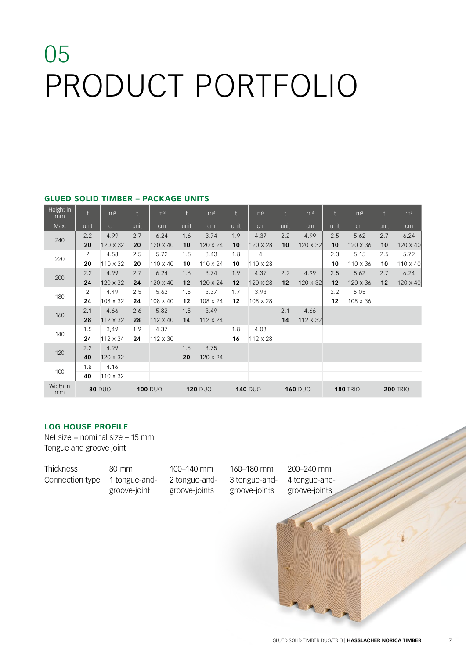### 05 PRODUCT PORTFOLIO

#### **GLUED SOLID TIMBER – PACKAGE UNITS**

| Height in<br>mm | t             | m <sup>3</sup> | t    | m <sup>3</sup>  |      | m <sup>3</sup>  |      | m <sup>3</sup>  | t    | m <sup>3</sup>  | t    | m <sup>3</sup>  | t    | m <sup>3</sup>  |
|-----------------|---------------|----------------|------|-----------------|------|-----------------|------|-----------------|------|-----------------|------|-----------------|------|-----------------|
| Max.            | unit          | cm             | unit | cm              | unit | cm              | unit | cm              | unit | cm              | unit | cm              | unit | cm              |
| 240             | 2.2           | 4.99           | 2.7  | 6.24            | 1.6  | 3.74            | 1.9  | 4.37            | 2.2  | 4.99            | 2.5  | 5.62            | 2.7  | 6.24            |
|                 | 20            | 120 x 32       | 20   | $120 \times 40$ | 10   | $120 \times 24$ | 10   | 120 x 28        | 10   | $120 \times 32$ | 10   | 120 x 36        | 10   | 120 x 40        |
| 220             | 2             | 4.58           | 2.5  | 5.72            | 1.5  | 3.43            | 1.8  | $\overline{4}$  |      |                 | 2.3  | 5.15            | 2.5  | 5.72            |
|                 | 20            | 110 x 32       | 20   | $110 \times 40$ | 10   | $110 \times 24$ | 10   | $110 \times 28$ |      |                 | 10   | 110 x 36        | 10   | $110 \times 40$ |
| 200             | 2.2           | 4.99           | 2.7  | 6.24            | 1.6  | 3.74            | 1.9  | 4.37            | 2.2  | 4.99            | 2.5  | 5.62            | 2.7  | 6.24            |
|                 | 24            | 120 x 32       | 24   | $120 \times 40$ | 12   | 120 x 24        | 12   | 120 x 28        | 12   | 120 x 32        | 12   | $120 \times 36$ | 12   | 120 x 40        |
|                 | 2             | 4.49           | 2.5  | 5.62            | 1.5  | 3.37            | 1.7  | 3.93            |      |                 | 2.2  | 5.05            |      |                 |
| 180             | 24            | 108 x 32       | 24   | $108 \times 40$ | 12   | 108 x 24        | 12   | 108 x 28        |      |                 | 12   | $108 \times 36$ |      |                 |
| 160             | 2.1           | 4.66           | 2.6  | 5.82            | 1.5  | 3.49            |      |                 | 2.1  | 4.66            |      |                 |      |                 |
|                 | 28            | 112 x 32       | 28   | 112 x 40        | 14   | 112 $\times$ 24 |      |                 | 14   | $112 \times 32$ |      |                 |      |                 |
| 140             | 1.5           | 3,49           | 1.9  | 4.37            |      |                 | 1.8  | 4.08            |      |                 |      |                 |      |                 |
|                 | 24            | 112 x 24       | 24   | 112 x 30        |      |                 | 16   | $112 \times 28$ |      |                 |      |                 |      |                 |
| 120             | 2.2           | 4.99           |      |                 | 1.6  | 3.75            |      |                 |      |                 |      |                 |      |                 |
|                 | 40            | 120 x 32       |      |                 | 20   | $120 \times 24$ |      |                 |      |                 |      |                 |      |                 |
| 100             | 1.8           | 4.16           |      |                 |      |                 |      |                 |      |                 |      |                 |      |                 |
|                 | 40            | 110 x 32       |      |                 |      |                 |      |                 |      |                 |      |                 |      |                 |
| Width in<br>mm  | <b>80 DUO</b> |                |      | <b>100 DUO</b>  |      | <b>120 DUO</b>  |      | <b>140 DUO</b>  |      | <b>160 DUO</b>  |      | <b>180 TRIO</b> |      | <b>200 TRIO</b> |

#### **LOG HOUSE PROFILE**

Net size = nominal size – 15 mm Tongue and groove joint

| <b>Thickness</b> | 80 mm         | 100-140 mm    | 160-180 mm    | 200-240 mm    |  |
|------------------|---------------|---------------|---------------|---------------|--|
| Connection type  | 1 tongue-and- | 2 tongue-and- | 3 tongue-and- | 4 tongue-and- |  |
|                  | groove-joint  | groove-joints | groove-joints | groove-joints |  |
|                  |               |               |               |               |  |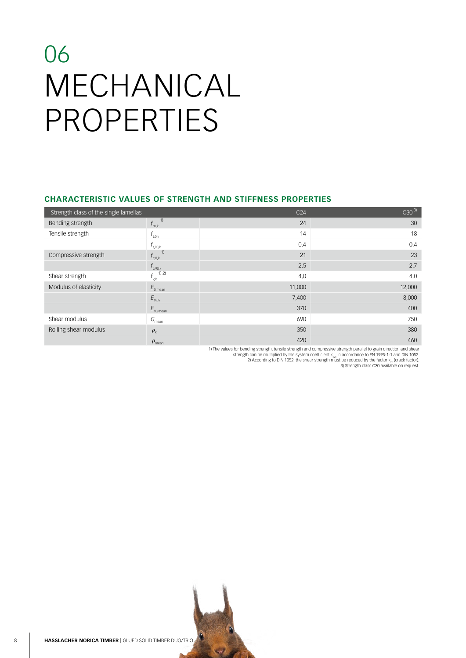### 06 MECHANICAL PROPERTIES

#### **CHARACTERISTIC VALUES OF STRENGTH AND STIFFNESS PROPERTIES**

| Strength class of the single lamellas |                                   | C <sub>24</sub> | $C30^{3}$ |
|---------------------------------------|-----------------------------------|-----------------|-----------|
| Bending strength                      | 1)<br>$f_{\rm m,k}$               | 24              | 30        |
| Tensile strength                      | $f_{\rm t,0,k}^{}$                | 14              | 18        |
|                                       | $f_{\rm t,90,k}^{\phantom{\dag}}$ | 0.4             | 0.4       |
| Compressive strength                  | 1)<br>c, 0, k                     | 21              | 23        |
|                                       | $f_{c,90,k}$ (1) 2)               | 2.5             | 2.7       |
| Shear strength                        | l <sub>v.k</sub>                  | 4,0             | 4.0       |
| Modulus of elasticity                 | $E_{\rm 0,mean}$                  | 11,000          | 12,000    |
|                                       | $E_{\rm 0,05}$                    | 7,400           | 8,000     |
|                                       | $E_{\text{90,mean}}$              | 370             | 400       |
| Shear modulus                         | $G_{mean}$                        | 690             | 750       |
| Rolling shear modulus                 | $\rho_{k}$                        | 350             | 380       |
|                                       | $\rho_{\text{mean}}$              | 420             | 460       |

1) The values for bending strength, tensile strength and compressive strength parallel to grain direction and shear

strength can be multiplied by the system coefficient k<sub>aps</sub> in accordance to EN 1995-1-1 and DIN 1052.<br>2) According to DIN 1052, the shear strength must be reduced by the factor k<sub>c.</sub> (crack factor)<br>3) Strength class C30 a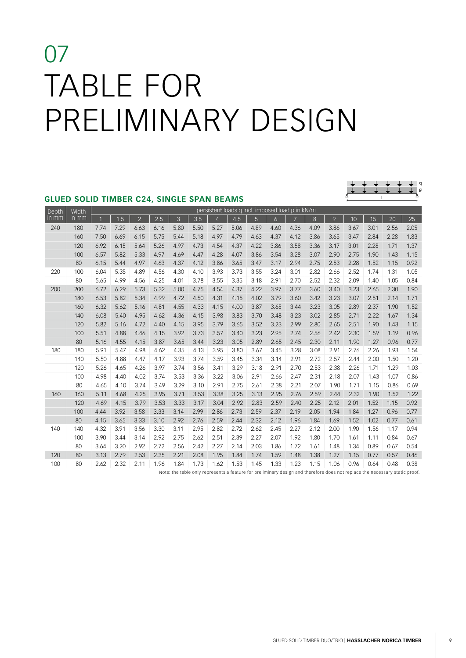### TABLE FOR PRELIMINARY DESIGN

#### **GLUED SOLID TIMBER C24, SINGLE SPAN BEAMS**

| Depth | Width | persistent loads q incl. imposed load p in kN/m |      |                |      |      |      |                |      |      |      |      |      |      |      |      |      |      |
|-------|-------|-------------------------------------------------|------|----------------|------|------|------|----------------|------|------|------|------|------|------|------|------|------|------|
| in mm | in mm | $\mathbf{1}$                                    | 1.5  | $\overline{2}$ | 2.5  | 3    | 3.5  | $\overline{4}$ | 4.5  | 5    | 6    | 7    | 8    | 9    | 10   | 15   | 20   | 25   |
| 240   | 180   | 7.74                                            | 7.29 | 6.63           | 6.16 | 5.80 | 5.50 | 5.27           | 5.06 | 4.89 | 4.60 | 4.36 | 4.09 | 3.86 | 3.67 | 3.01 | 2.56 | 2.05 |
|       | 160   | 7.50                                            | 6.69 | 6.15           | 5.75 | 5.44 | 5.18 | 4.97           | 4.79 | 4.63 | 4.37 | 4.12 | 3.86 | 3.65 | 3.47 | 2.84 | 2.28 | 1.83 |
|       | 120   | 6.92                                            | 6.15 | 5.64           | 5.26 | 4.97 | 4.73 | 4.54           | 4.37 | 4.22 | 3.86 | 3.58 | 3.36 | 3.17 | 3.01 | 2.28 | 1.71 | 1.37 |
|       | 100   | 6.57                                            | 5.82 | 5.33           | 4.97 | 4.69 | 4.47 | 4.28           | 4.07 | 3.86 | 3.54 | 3.28 | 3.07 | 2.90 | 2.75 | 1.90 | 1.43 | 1.15 |
|       | 80    | 6.15                                            | 5.44 | 4.97           | 4.63 | 4.37 | 4.12 | 3.86           | 3.65 | 3.47 | 3.17 | 2.94 | 2.75 | 2.53 | 2.28 | 1.52 | 1.15 | 0.92 |
| 220   | 100   | 6.04                                            | 5.35 | 4.89           | 4.56 | 4.30 | 4.10 | 3.93           | 3.73 | 3.55 | 3.24 | 3.01 | 2.82 | 2.66 | 2.52 | 1.74 | 1.31 | 1.05 |
|       | 80    | 5.65                                            | 4.99 | 4.56           | 4.25 | 4.01 | 3.78 | 3.55           | 3.35 | 3.18 | 2.91 | 2.70 | 2.52 | 2.32 | 2.09 | 1.40 | 1.05 | 0.84 |
| 200   | 200   | 6.72                                            | 6.29 | 5.73           | 5.32 | 5.00 | 4.75 | 4.54           | 4.37 | 4.22 | 3.97 | 3.77 | 3.60 | 3.40 | 3.23 | 2.65 | 2.30 | 1.90 |
|       | 180   | 6.53                                            | 5.82 | 5.34           | 4.99 | 4.72 | 4.50 | 4.31           | 4.15 | 4.02 | 3.79 | 3.60 | 3.42 | 3.23 | 3.07 | 2.51 | 2.14 | 1.71 |
|       | 160   | 6.32                                            | 5.62 | 5.16           | 4.81 | 4.55 | 4.33 | 4.15           | 4.00 | 3.87 | 3.65 | 3.44 | 3.23 | 3.05 | 2.89 | 2.37 | 1.90 | 1.52 |
|       | 140   | 6.08                                            | 5.40 | 4.95           | 4.62 | 4.36 | 4.15 | 3.98           | 3.83 | 3.70 | 3.48 | 3.23 | 3.02 | 2.85 | 2.71 | 2.22 | 1.67 | 1.34 |
|       | 120   | 5.82                                            | 5.16 | 4.72           | 4.40 | 4.15 | 3.95 | 3.79           | 3.65 | 3.52 | 3.23 | 2.99 | 2.80 | 2.65 | 2.51 | 1.90 | 1.43 | 1.15 |
|       | 100   | 5.51                                            | 4.88 | 4.46           | 4.15 | 3.92 | 3.73 | 3.57           | 3.40 | 3.23 | 2.95 | 2.74 | 2.56 | 2.42 | 2.30 | 1.59 | 1.19 | 0.96 |
|       | 80    | 5.16                                            | 4.55 | 4.15           | 3.87 | 3.65 | 3.44 | 3.23           | 3.05 | 2.89 | 2.65 | 2.45 | 2.30 | 2.11 | 1.90 | 1.27 | 0.96 | 0.77 |
| 180   | 180   | 5.91                                            | 5.47 | 4.98           | 4.62 | 4.35 | 4.13 | 3.95           | 3.80 | 3.67 | 3.45 | 3.28 | 3.08 | 2.91 | 2.76 | 2.26 | 1.93 | 1.54 |
|       | 140   | 5.50                                            | 4.88 | 4.47           | 4.17 | 3.93 | 3.74 | 3.59           | 3.45 | 3.34 | 3.14 | 2.91 | 2.72 | 2.57 | 2.44 | 2.00 | 1.50 | 1.20 |
|       | 120   | 5.26                                            | 4.65 | 4.26           | 3.97 | 3.74 | 3.56 | 3.41           | 3.29 | 3.18 | 2.91 | 2.70 | 2.53 | 2.38 | 2.26 | 1.71 | 1.29 | 1.03 |
|       | 100   | 4.98                                            | 4.40 | 4.02           | 3.74 | 3.53 | 3.36 | 3.22           | 3.06 | 2.91 | 2.66 | 2.47 | 2.31 | 2.18 | 2.07 | 1.43 | 1.07 | 0.86 |
|       | 80    | 4.65                                            | 4.10 | 3.74           | 3.49 | 3.29 | 3.10 | 2.91           | 2.75 | 2.61 | 2.38 | 2.21 | 2.07 | 1.90 | 1.71 | 1.15 | 0.86 | 0.69 |
| 160   | 160   | 5.11                                            | 4.68 | 4.25           | 3.95 | 3.71 | 3.53 | 3.38           | 3.25 | 3.13 | 2.95 | 2.76 | 2.59 | 2.44 | 2.32 | 1.90 | 1.52 | 1.22 |
|       | 120   | 4.69                                            | 4.15 | 3.79           | 3.53 | 3.33 | 3.17 | 3.04           | 2.92 | 2.83 | 2.59 | 2.40 | 2.25 | 2.12 | 2.01 | 1.52 | 1.15 | 0.92 |
|       | 100   | 4.44                                            | 3.92 | 3.58           | 3.33 | 3.14 | 2.99 | 2.86           | 2.73 | 2.59 | 2.37 | 2.19 | 2.05 | 1.94 | 1.84 | 1.27 | 0.96 | 0.77 |
|       | 80    | 4.15                                            | 3.65 | 3.33           | 3.10 | 2.92 | 2.76 | 2.59           | 2.44 | 2.32 | 2.12 | 1.96 | 1.84 | 1.69 | 1.52 | 1.02 | 0.77 | 0.61 |
| 140   | 140   | 4.32                                            | 3.91 | 3.56           | 3.30 | 3.11 | 2.95 | 2.82           | 2.72 | 2.62 | 2.45 | 2.27 | 2.12 | 2.00 | 1.90 | 1.56 | 1.17 | 0.94 |
|       | 100   | 3.90                                            | 3.44 | 3.14           | 2.92 | 2.75 | 2.62 | 2.51           | 2.39 | 2.27 | 2.07 | 1.92 | 1.80 | 1.70 | 1.61 | 1.11 | 0.84 | 0.67 |
|       | 80    | 3.64                                            | 3.20 | 2.92           | 2.72 | 2.56 | 2.42 | 2.27           | 2.14 | 2.03 | 1.86 | 1.72 | 1.61 | 1.48 | 1.34 | 0.89 | 0.67 | 0.54 |
| 120   | 80    | 3.13                                            | 2.79 | 2.53           | 2.35 | 2.21 | 2.08 | 1.95           | 1.84 | 1.74 | 1.59 | 1.48 | 1.38 | 1.27 | 1.15 | 0.77 | 0.57 | 0.46 |
| 100   | 80    | 2.62                                            | 2.32 | 2.11           | 1.96 | 1.84 | 1.73 | 1.62           | 1.53 | 1.45 | 1.33 | 1.23 | 1.15 | 1.06 | 0.96 | 0.64 | 0.48 | 0.38 |

Note: the table only represents a feature for preliminary design and therefore does not replace the necessary static proof.

L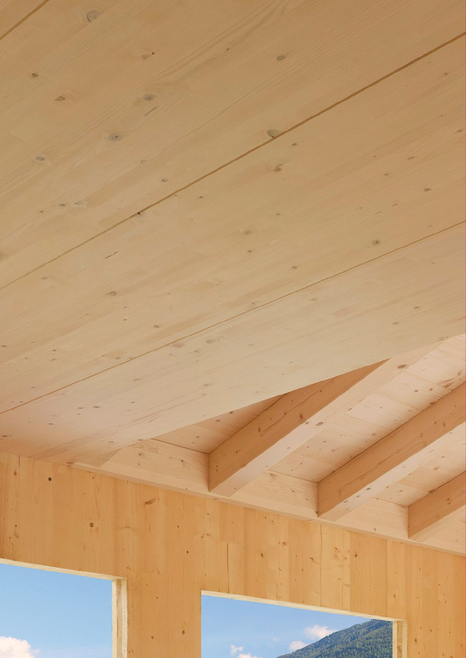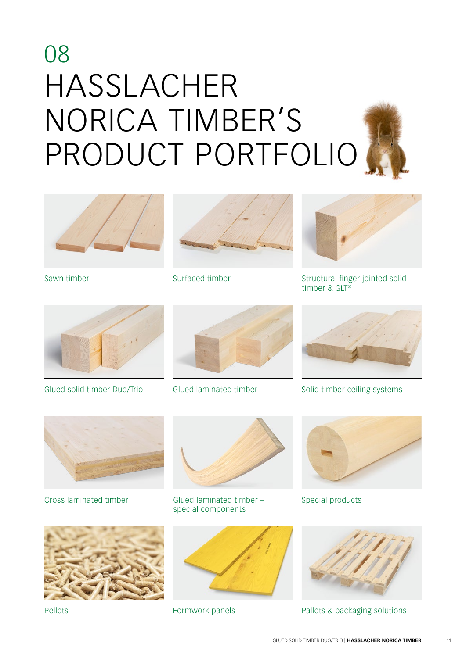### HASSLACHER NORICA TIMBER'S PRODUCT PORTFOLIO 08





Sawn timber



Surfaced timber



Structural finger jointed solid timber & GLT®



Glued solid timber Duo/Trio



Glued laminated timber



Solid timber ceiling systems



Cross laminated timber



Pellets



Glued laminated timber – special components



Formwork panels



Special products



Pallets & packaging solutions